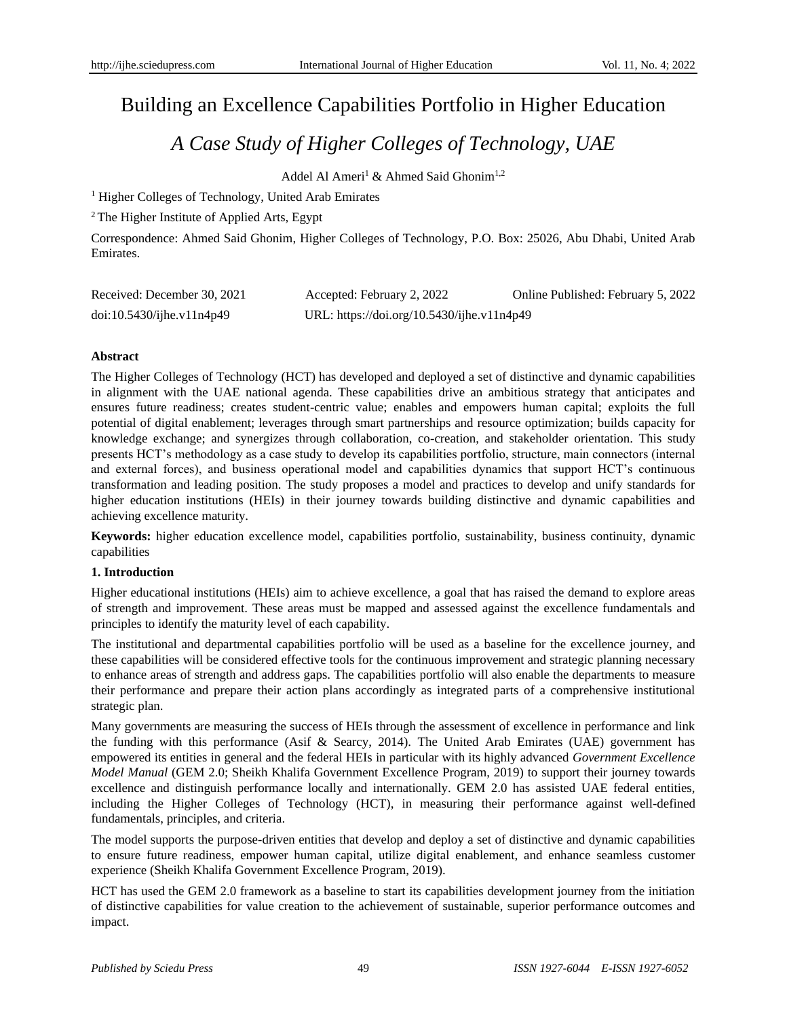# Building an Excellence Capabilities Portfolio in Higher Education

# *A Case Study of Higher Colleges of Technology, UAE*

Addel Al Ameri<sup>1</sup> & Ahmed Said Ghonim<sup>1,2</sup>

<sup>1</sup> Higher Colleges of Technology, United Arab Emirates

<sup>2</sup>The Higher Institute of Applied Arts, Egypt

Correspondence: Ahmed Said Ghonim, Higher Colleges of Technology, P.O. Box: 25026, Abu Dhabi, United Arab Emirates.

| Received: December 30, 2021     | Accepted: February 2, 2022                 | Online Published: February 5, 2022 |
|---------------------------------|--------------------------------------------|------------------------------------|
| $doi:10.5430/ij$ he.v $11n4p49$ | URL: https://doi.org/10.5430/ijhe.v11n4p49 |                                    |

# **Abstract**

The Higher Colleges of Technology (HCT) has developed and deployed a set of distinctive and dynamic capabilities in alignment with the UAE national agenda. These capabilities drive an ambitious strategy that anticipates and ensures future readiness; creates student-centric value; enables and empowers human capital; exploits the full potential of digital enablement; leverages through smart partnerships and resource optimization; builds capacity for knowledge exchange; and synergizes through collaboration, co-creation, and stakeholder orientation. This study presents HCT's methodology as a case study to develop its capabilities portfolio, structure, main connectors (internal and external forces), and business operational model and capabilities dynamics that support HCT's continuous transformation and leading position. The study proposes a model and practices to develop and unify standards for higher education institutions (HEIs) in their journey towards building distinctive and dynamic capabilities and achieving excellence maturity.

**Keywords:** higher education excellence model, capabilities portfolio, sustainability, business continuity, dynamic capabilities

### **1. Introduction**

Higher educational institutions (HEIs) aim to achieve excellence, a goal that has raised the demand to explore areas of strength and improvement. These areas must be mapped and assessed against the excellence fundamentals and principles to identify the maturity level of each capability.

The institutional and departmental capabilities portfolio will be used as a baseline for the excellence journey, and these capabilities will be considered effective tools for the continuous improvement and strategic planning necessary to enhance areas of strength and address gaps. The capabilities portfolio will also enable the departments to measure their performance and prepare their action plans accordingly as integrated parts of a comprehensive institutional strategic plan.

Many governments are measuring the success of HEIs through the assessment of excellence in performance and link the funding with this performance (Asif & Searcy, 2014). The United Arab Emirates (UAE) government has empowered its entities in general and the federal HEIs in particular with its highly advanced *Government Excellence Model Manual* (GEM 2.0; Sheikh Khalifa Government Excellence Program, 2019) to support their journey towards excellence and distinguish performance locally and internationally. GEM 2.0 has assisted UAE federal entities, including the Higher Colleges of Technology (HCT), in measuring their performance against well-defined fundamentals, principles, and criteria.

The model supports the purpose-driven entities that develop and deploy a set of distinctive and dynamic capabilities to ensure future readiness, empower human capital, utilize digital enablement, and enhance seamless customer experience (Sheikh Khalifa Government Excellence Program, 2019).

HCT has used the GEM 2.0 framework as a baseline to start its capabilities development journey from the initiation of distinctive capabilities for value creation to the achievement of sustainable, superior performance outcomes and impact.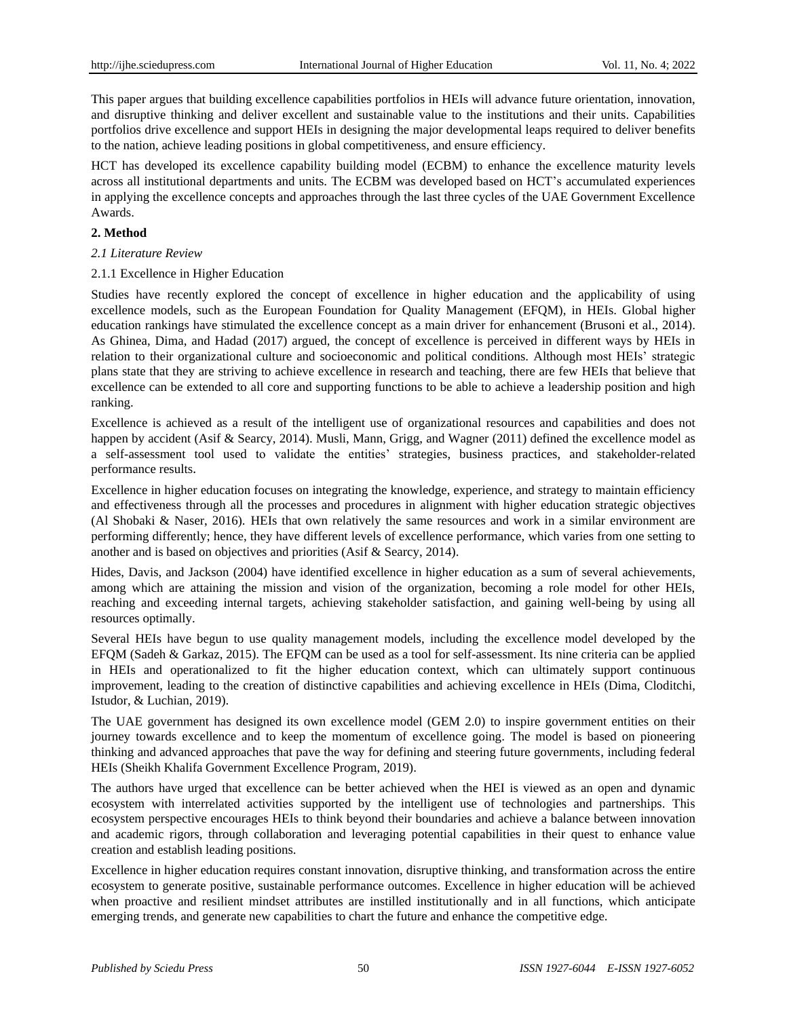This paper argues that building excellence capabilities portfolios in HEIs will advance future orientation, innovation, and disruptive thinking and deliver excellent and sustainable value to the institutions and their units. Capabilities portfolios drive excellence and support HEIs in designing the major developmental leaps required to deliver benefits to the nation, achieve leading positions in global competitiveness, and ensure efficiency.

HCT has developed its excellence capability building model (ECBM) to enhance the excellence maturity levels across all institutional departments and units. The ECBM was developed based on HCT's accumulated experiences in applying the excellence concepts and approaches through the last three cycles of the UAE Government Excellence Awards.

### **2. Method**

- *2.1 Literature Review*
- 2.1.1 Excellence in Higher Education

Studies have recently explored the concept of excellence in higher education and the applicability of using excellence models, such as the European Foundation for Quality Management (EFQM), in HEIs. Global higher education rankings have stimulated the excellence concept as a main driver for enhancement (Brusoni et al., 2014). As Ghinea, Dima, and Hadad (2017) argued, the concept of excellence is perceived in different ways by HEIs in relation to their organizational culture and socioeconomic and political conditions. Although most HEIs' strategic plans state that they are striving to achieve excellence in research and teaching, there are few HEIs that believe that excellence can be extended to all core and supporting functions to be able to achieve a leadership position and high ranking.

Excellence is achieved as a result of the intelligent use of organizational resources and capabilities and does not happen by accident (Asif & Searcy, 2014). Musli, Mann, Grigg, and Wagner (2011) defined the excellence model as a self-assessment tool used to validate the entities' strategies, business practices, and stakeholder-related performance results.

Excellence in higher education focuses on integrating the knowledge, experience, and strategy to maintain efficiency and effectiveness through all the processes and procedures in alignment with higher education strategic objectives (Al Shobaki & Naser, 2016). HEIs that own relatively the same resources and work in a similar environment are performing differently; hence, they have different levels of excellence performance, which varies from one setting to another and is based on objectives and priorities (Asif & Searcy, 2014).

Hides, Davis, and Jackson (2004) have identified excellence in higher education as a sum of several achievements, among which are attaining the mission and vision of the organization, becoming a role model for other HEIs, reaching and exceeding internal targets, achieving stakeholder satisfaction, and gaining well-being by using all resources optimally.

Several HEIs have begun to use quality management models, including the excellence model developed by the EFQM (Sadeh & Garkaz, 2015). The EFQM can be used as a tool for self-assessment. Its nine criteria can be applied in HEIs and operationalized to fit the higher education context, which can ultimately support continuous improvement, leading to the creation of distinctive capabilities and achieving excellence in HEIs (Dima, Cloditchi, Istudor, & Luchian, 2019).

The UAE government has designed its own excellence model (GEM 2.0) to inspire government entities on their journey towards excellence and to keep the momentum of excellence going. The model is based on pioneering thinking and advanced approaches that pave the way for defining and steering future governments, including federal HEIs (Sheikh Khalifa Government Excellence Program, 2019).

The authors have urged that excellence can be better achieved when the HEI is viewed as an open and dynamic ecosystem with interrelated activities supported by the intelligent use of technologies and partnerships. This ecosystem perspective encourages HEIs to think beyond their boundaries and achieve a balance between innovation and academic rigors, through collaboration and leveraging potential capabilities in their quest to enhance value creation and establish leading positions.

Excellence in higher education requires constant innovation, disruptive thinking, and transformation across the entire ecosystem to generate positive, sustainable performance outcomes. Excellence in higher education will be achieved when proactive and resilient mindset attributes are instilled institutionally and in all functions, which anticipate emerging trends, and generate new capabilities to chart the future and enhance the competitive edge.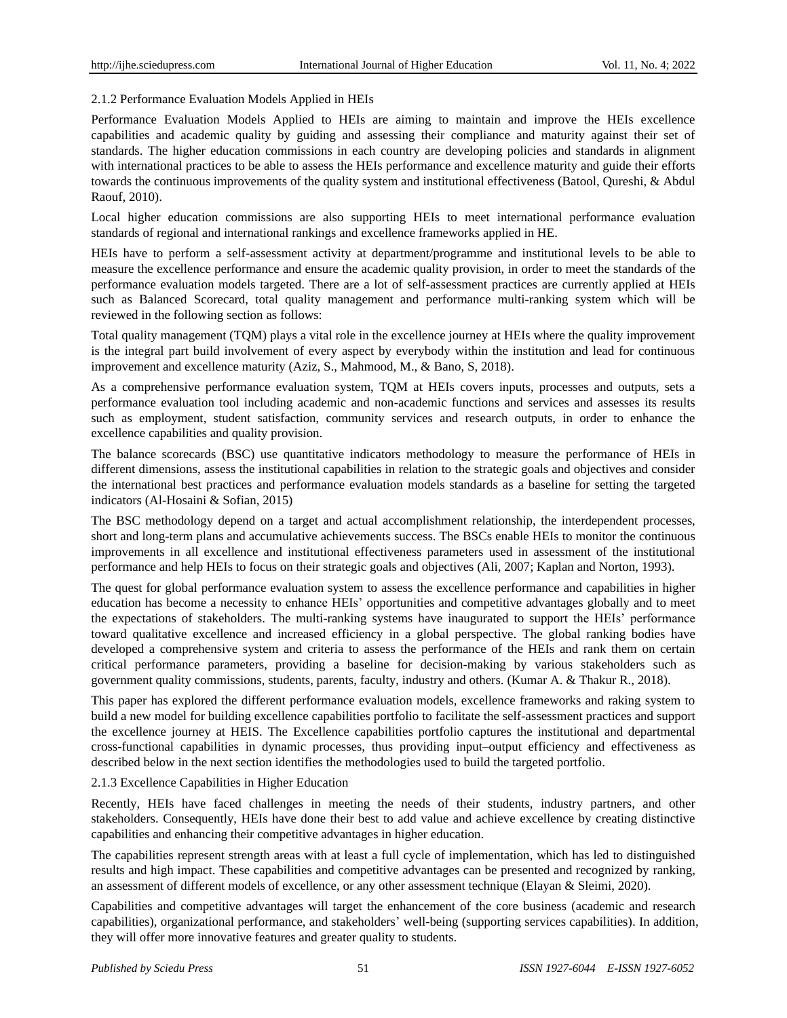# 2.1.2 Performance Evaluation Models Applied in HEIs

Performance Evaluation Models Applied to HEIs are aiming to maintain and improve the HEIs excellence capabilities and academic quality by guiding and assessing their compliance and maturity against their set of standards. The higher education commissions in each country are developing policies and standards in alignment with international practices to be able to assess the HEIs performance and excellence maturity and guide their efforts towards the continuous improvements of the quality system and institutional effectiveness (Batool, Qureshi, & Abdul Raouf, 2010).

Local higher education commissions are also supporting HEIs to meet international performance evaluation standards of regional and international rankings and excellence frameworks applied in HE.

HEIs have to perform a self-assessment activity at department/programme and institutional levels to be able to measure the excellence performance and ensure the academic quality provision, in order to meet the standards of the performance evaluation models targeted. There are a lot of self-assessment practices are currently applied at HEIs such as Balanced Scorecard, total quality management and performance multi-ranking system which will be reviewed in the following section as follows:

Total quality management (TQM) plays a vital role in the excellence journey at HEIs where the quality improvement is the integral part build involvement of every aspect by everybody within the institution and lead for continuous improvement and excellence maturity (Aziz, S., Mahmood, M., & Bano, S, 2018).

As a comprehensive performance evaluation system, TQM at HEIs covers inputs, processes and outputs, sets a performance evaluation tool including academic and non-academic functions and services and assesses its results such as employment, student satisfaction, community services and research outputs, in order to enhance the excellence capabilities and quality provision.

The balance scorecards (BSC) use quantitative indicators methodology to measure the performance of HEIs in different dimensions, assess the institutional capabilities in relation to the strategic goals and objectives and consider the international best practices and performance evaluation models standards as a baseline for setting the targeted indicators (Al-Hosaini & Sofian, 2015)

The BSC methodology depend on a target and actual accomplishment relationship, the interdependent processes, short and long-term plans and accumulative achievements success. The BSCs enable HEIs to monitor the continuous improvements in all excellence and institutional effectiveness parameters used in assessment of the institutional performance and help HEIs to focus on their strategic goals and objectives (Ali, 2007; Kaplan and Norton, 1993).

The quest for global performance evaluation system to assess the excellence performance and capabilities in higher education has become a necessity to enhance HEIs' opportunities and competitive advantages globally and to meet the expectations of stakeholders. The multi-ranking systems have inaugurated to support the HEIs' performance toward qualitative excellence and increased efficiency in a global perspective. The global ranking bodies have developed a comprehensive system and criteria to assess the performance of the HEIs and rank them on certain critical performance parameters, providing a baseline for decision-making by various stakeholders such as government quality commissions, students, parents, faculty, industry and others. (Kumar A. & Thakur R., 2018).

This paper has explored the different performance evaluation models, excellence frameworks and raking system to build a new model for building excellence capabilities portfolio to facilitate the self-assessment practices and support the excellence journey at HEIS. The Excellence capabilities portfolio captures the institutional and departmental cross-functional capabilities in dynamic processes, thus providing input–output efficiency and effectiveness as described below in the next section identifies the methodologies used to build the targeted portfolio.

### 2.1.3 Excellence Capabilities in Higher Education

Recently, HEIs have faced challenges in meeting the needs of their students, industry partners, and other stakeholders. Consequently, HEIs have done their best to add value and achieve excellence by creating distinctive capabilities and enhancing their competitive advantages in higher education.

The capabilities represent strength areas with at least a full cycle of implementation, which has led to distinguished results and high impact. These capabilities and competitive advantages can be presented and recognized by ranking, an assessment of different models of excellence, or any other assessment technique (Elayan & Sleimi, 2020).

Capabilities and competitive advantages will target the enhancement of the core business (academic and research capabilities), organizational performance, and stakeholders' well-being (supporting services capabilities). In addition, they will offer more innovative features and greater quality to students.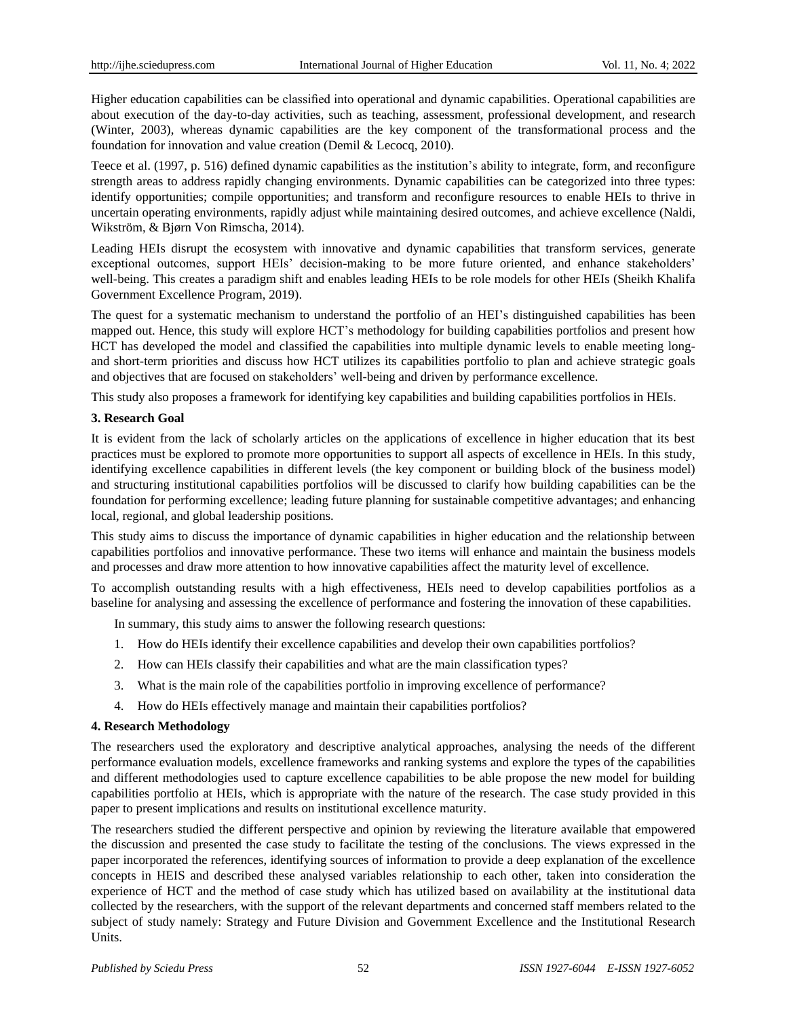Higher education capabilities can be classified into operational and dynamic capabilities. Operational capabilities are about execution of the day-to-day activities, such as teaching, assessment, professional development, and research (Winter, 2003), whereas dynamic capabilities are the key component of the transformational process and the foundation for innovation and value creation (Demil & Lecocq, 2010).

Teece et al. (1997, p. 516) defined dynamic capabilities as the institution's ability to integrate, form, and reconfigure strength areas to address rapidly changing environments. Dynamic capabilities can be categorized into three types: identify opportunities; compile opportunities; and transform and reconfigure resources to enable HEIs to thrive in uncertain operating environments, rapidly adjust while maintaining desired outcomes, and achieve excellence (Naldi, Wikström, & Bjørn Von Rimscha, 2014).

Leading HEIs disrupt the ecosystem with innovative and dynamic capabilities that transform services, generate exceptional outcomes, support HEIs' decision-making to be more future oriented, and enhance stakeholders' well-being. This creates a paradigm shift and enables leading HEIs to be role models for other HEIs (Sheikh Khalifa Government Excellence Program, 2019).

The quest for a systematic mechanism to understand the portfolio of an HEI's distinguished capabilities has been mapped out. Hence, this study will explore HCT's methodology for building capabilities portfolios and present how HCT has developed the model and classified the capabilities into multiple dynamic levels to enable meeting longand short-term priorities and discuss how HCT utilizes its capabilities portfolio to plan and achieve strategic goals and objectives that are focused on stakeholders' well-being and driven by performance excellence.

This study also proposes a framework for identifying key capabilities and building capabilities portfolios in HEIs.

#### **3. Research Goal**

It is evident from the lack of scholarly articles on the applications of excellence in higher education that its best practices must be explored to promote more opportunities to support all aspects of excellence in HEIs. In this study, identifying excellence capabilities in different levels (the key component or building block of the business model) and structuring institutional capabilities portfolios will be discussed to clarify how building capabilities can be the foundation for performing excellence; leading future planning for sustainable competitive advantages; and enhancing local, regional, and global leadership positions.

This study aims to discuss the importance of dynamic capabilities in higher education and the relationship between capabilities portfolios and innovative performance. These two items will enhance and maintain the business models and processes and draw more attention to how innovative capabilities affect the maturity level of excellence.

To accomplish outstanding results with a high effectiveness, HEIs need to develop capabilities portfolios as a baseline for analysing and assessing the excellence of performance and fostering the innovation of these capabilities.

In summary, this study aims to answer the following research questions:

- 1. How do HEIs identify their excellence capabilities and develop their own capabilities portfolios?
- 2. How can HEIs classify their capabilities and what are the main classification types?
- 3. What is the main role of the capabilities portfolio in improving excellence of performance?
- 4. How do HEIs effectively manage and maintain their capabilities portfolios?

### **4. Research Methodology**

The researchers used the exploratory and descriptive analytical approaches, analysing the needs of the different performance evaluation models, excellence frameworks and ranking systems and explore the types of the capabilities and different methodologies used to capture excellence capabilities to be able propose the new model for building capabilities portfolio at HEIs, which is appropriate with the nature of the research. The case study provided in this paper to present implications and results on institutional excellence maturity.

The researchers studied the different perspective and opinion by reviewing the literature available that empowered the discussion and presented the case study to facilitate the testing of the conclusions. The views expressed in the paper incorporated the references, identifying sources of information to provide a deep explanation of the excellence concepts in HEIS and described these analysed variables relationship to each other, taken into consideration the experience of HCT and the method of case study which has utilized based on availability at the institutional data collected by the researchers, with the support of the relevant departments and concerned staff members related to the subject of study namely: Strategy and Future Division and Government Excellence and the Institutional Research Units.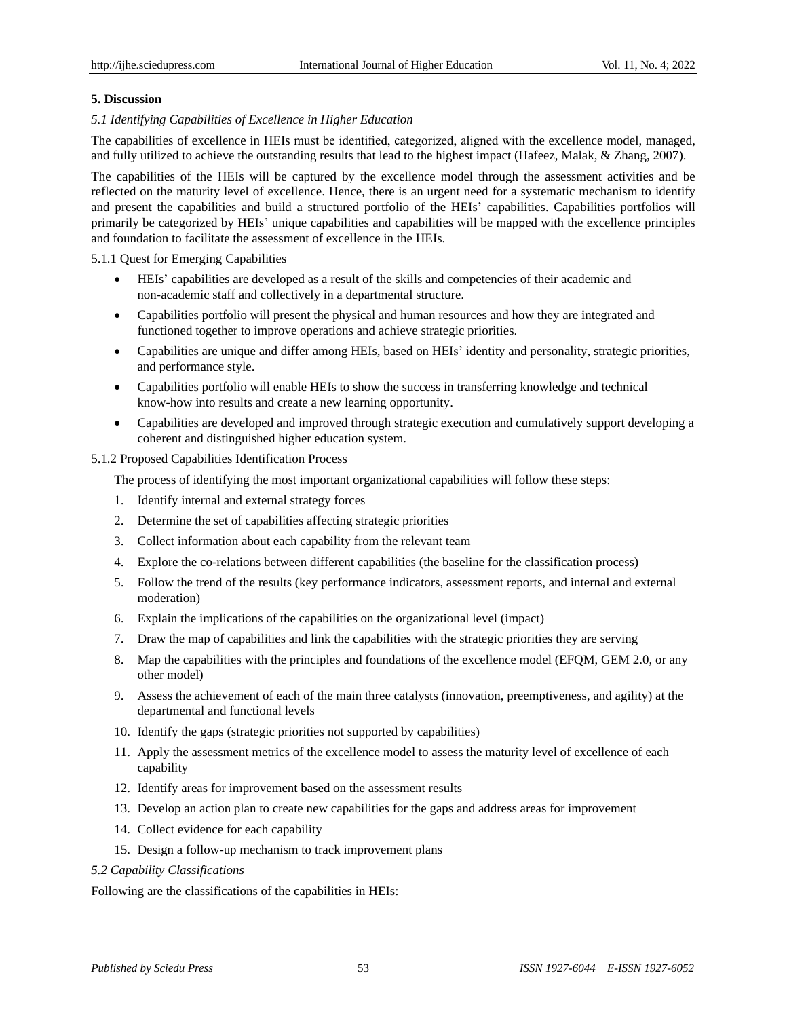## **5. Discussion**

## *5.1 Identifying Capabilities of Excellence in Higher Education*

The capabilities of excellence in HEIs must be identified, categorized, aligned with the excellence model, managed, and fully utilized to achieve the outstanding results that lead to the highest impact (Hafeez, Malak, & Zhang, 2007).

The capabilities of the HEIs will be captured by the excellence model through the assessment activities and be reflected on the maturity level of excellence. Hence, there is an urgent need for a systematic mechanism to identify and present the capabilities and build a structured portfolio of the HEIs' capabilities. Capabilities portfolios will primarily be categorized by HEIs' unique capabilities and capabilities will be mapped with the excellence principles and foundation to facilitate the assessment of excellence in the HEIs.

5.1.1 Quest for Emerging Capabilities

- HEIs' capabilities are developed as a result of the skills and competencies of their academic and non-academic staff and collectively in a departmental structure.
- Capabilities portfolio will present the physical and human resources and how they are integrated and functioned together to improve operations and achieve strategic priorities.
- Capabilities are unique and differ among HEIs, based on HEIs' identity and personality, strategic priorities, and performance style.
- Capabilities portfolio will enable HEIs to show the success in transferring knowledge and technical know-how into results and create a new learning opportunity.
- Capabilities are developed and improved through strategic execution and cumulatively support developing a coherent and distinguished higher education system.

### 5.1.2 Proposed Capabilities Identification Process

The process of identifying the most important organizational capabilities will follow these steps:

- 1. Identify internal and external strategy forces
- 2. Determine the set of capabilities affecting strategic priorities
- 3. Collect information about each capability from the relevant team
- 4. Explore the co-relations between different capabilities (the baseline for the classification process)
- 5. Follow the trend of the results (key performance indicators, assessment reports, and internal and external moderation)
- 6. Explain the implications of the capabilities on the organizational level (impact)
- 7. Draw the map of capabilities and link the capabilities with the strategic priorities they are serving
- 8. Map the capabilities with the principles and foundations of the excellence model (EFQM, GEM 2.0, or any other model)
- 9. Assess the achievement of each of the main three catalysts (innovation, preemptiveness, and agility) at the departmental and functional levels
- 10. Identify the gaps (strategic priorities not supported by capabilities)
- 11. Apply the assessment metrics of the excellence model to assess the maturity level of excellence of each capability
- 12. Identify areas for improvement based on the assessment results
- 13. Develop an action plan to create new capabilities for the gaps and address areas for improvement
- 14. Collect evidence for each capability
- 15. Design a follow-up mechanism to track improvement plans

#### *5.2 Capability Classifications*

Following are the classifications of the capabilities in HEIs: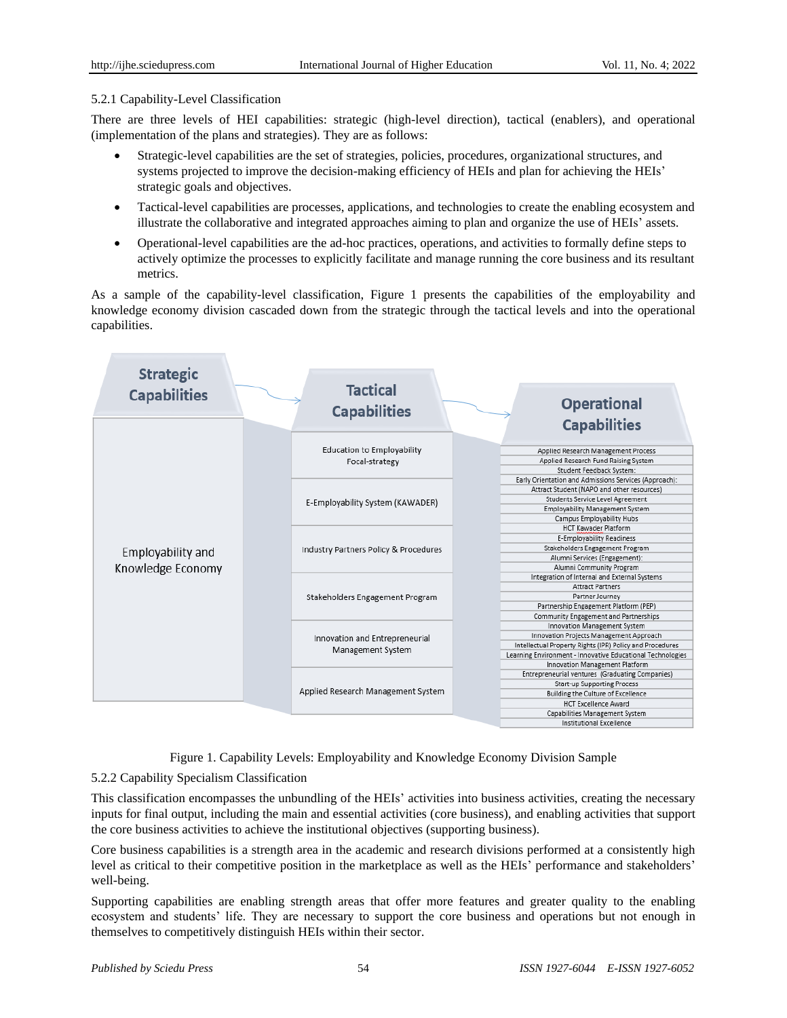### 5.2.1 Capability-Level Classification

There are three levels of HEI capabilities: strategic (high-level direction), tactical (enablers), and operational (implementation of the plans and strategies). They are as follows:

- Strategic-level capabilities are the set of strategies, policies, procedures, organizational structures, and systems projected to improve the decision-making efficiency of HEIs and plan for achieving the HEIs' strategic goals and objectives.
- Tactical-level capabilities are processes, applications, and technologies to create the enabling ecosystem and illustrate the collaborative and integrated approaches aiming to plan and organize the use of HEIs' assets.
- Operational-level capabilities are the ad-hoc practices, operations, and activities to formally define steps to actively optimize the processes to explicitly facilitate and manage running the core business and its resultant metrics.

As a sample of the capability-level classification, Figure 1 presents the capabilities of the employability and knowledge economy division cascaded down from the strategic through the tactical levels and into the operational capabilities.



Figure 1. Capability Levels: Employability and Knowledge Economy Division Sample

### 5.2.2 Capability Specialism Classification

This classification encompasses the unbundling of the HEIs' activities into business activities, creating the necessary inputs for final output, including the main and essential activities (core business), and enabling activities that support the core business activities to achieve the institutional objectives (supporting business).

Core business capabilities is a strength area in the academic and research divisions performed at a consistently high level as critical to their competitive position in the marketplace as well as the HEIs' performance and stakeholders' well-being.

Supporting capabilities are enabling strength areas that offer more features and greater quality to the enabling ecosystem and students' life. They are necessary to support the core business and operations but not enough in themselves to competitively distinguish HEIs within their sector.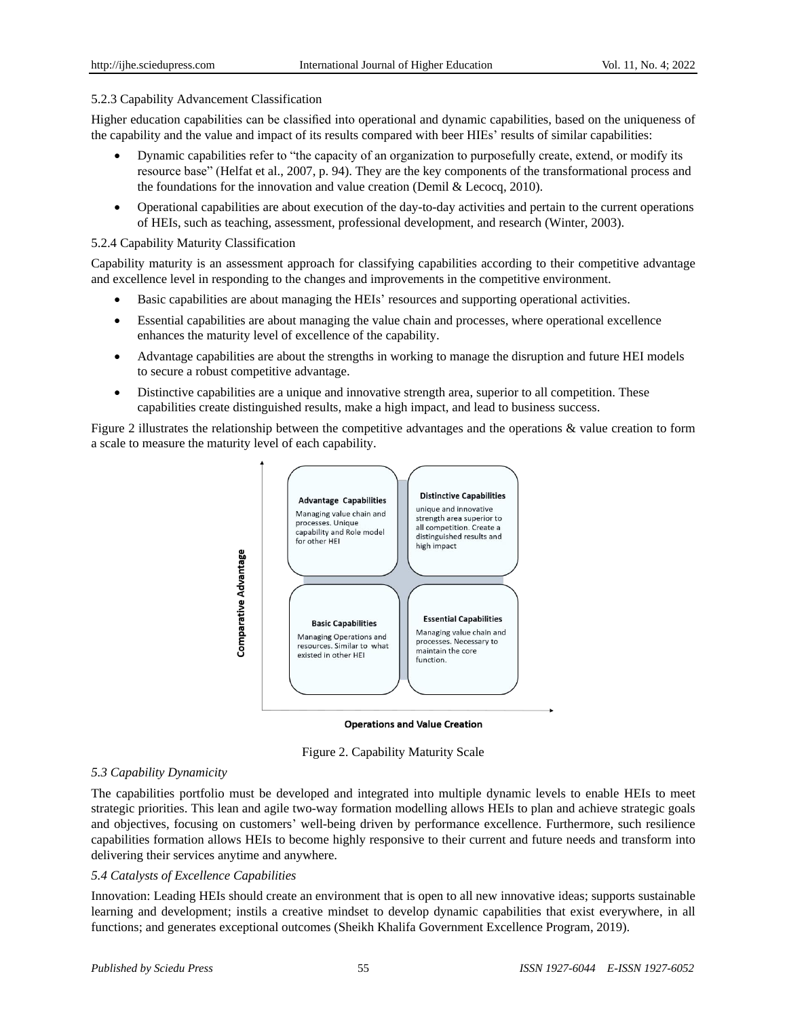#### 5.2.3 Capability Advancement Classification

Higher education capabilities can be classified into operational and dynamic capabilities, based on the uniqueness of the capability and the value and impact of its results compared with beer HIEs' results of similar capabilities:

- Dynamic capabilities refer to "the capacity of an organization to purposefully create, extend, or modify its resource base" (Helfat et al., 2007, p. 94). They are the key components of the transformational process and the foundations for the innovation and value creation (Demil & Lecocq, 2010).
- Operational capabilities are about execution of the day-to-day activities and pertain to the current operations of HEIs, such as teaching, assessment, professional development, and research (Winter, 2003).

#### 5.2.4 Capability Maturity Classification

Capability maturity is an assessment approach for classifying capabilities according to their competitive advantage and excellence level in responding to the changes and improvements in the competitive environment.

- Basic capabilities are about managing the HEIs' resources and supporting operational activities.
- Essential capabilities are about managing the value chain and processes, where operational excellence enhances the maturity level of excellence of the capability.
- Advantage capabilities are about the strengths in working to manage the disruption and future HEI models to secure a robust competitive advantage.
- Distinctive capabilities are a unique and innovative strength area, superior to all competition. These capabilities create distinguished results, make a high impact, and lead to business success.

Figure 2 illustrates the relationship between the competitive advantages and the operations & value creation to form a scale to measure the maturity level of each capability.



**Operations and Value Creation** 



#### *5.3 Capability Dynamicity*

The capabilities portfolio must be developed and integrated into multiple dynamic levels to enable HEIs to meet strategic priorities. This lean and agile two-way formation modelling allows HEIs to plan and achieve strategic goals and objectives, focusing on customers' well-being driven by performance excellence. Furthermore, such resilience capabilities formation allows HEIs to become highly responsive to their current and future needs and transform into delivering their services anytime and anywhere.

### *5.4 Catalysts of Excellence Capabilities*

Innovation: Leading HEIs should create an environment that is open to all new innovative ideas; supports sustainable learning and development; instils a creative mindset to develop dynamic capabilities that exist everywhere, in all functions; and generates exceptional outcomes (Sheikh Khalifa Government Excellence Program, 2019).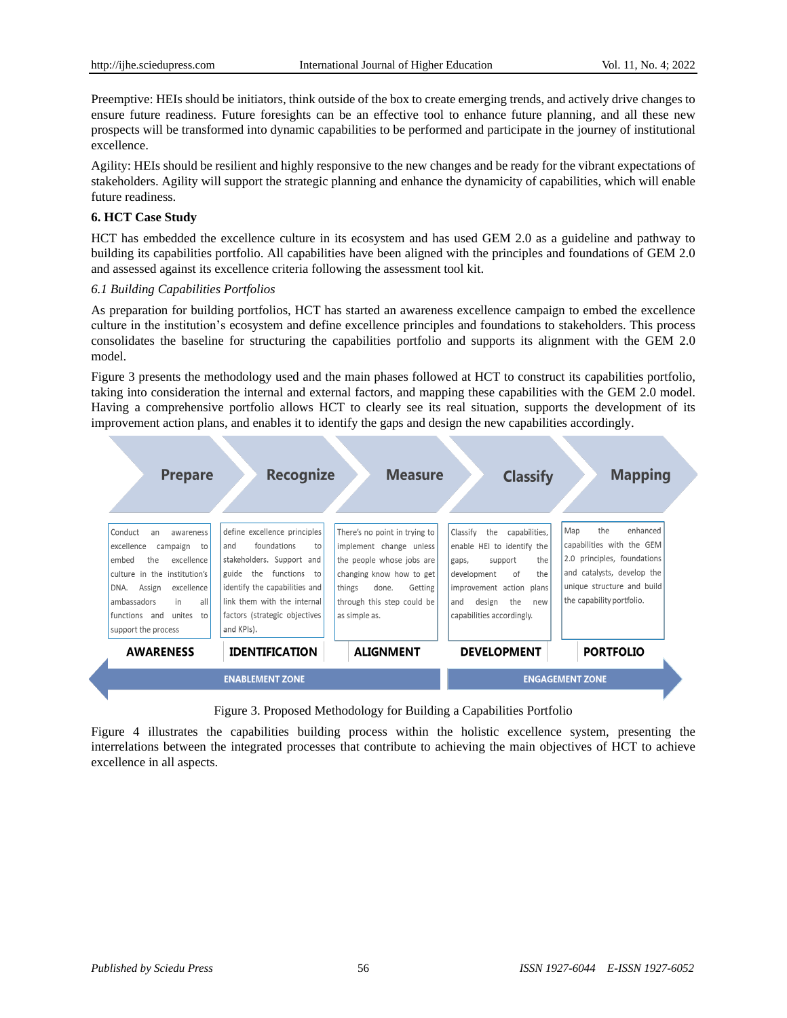Preemptive: HEIs should be initiators, think outside of the box to create emerging trends, and actively drive changes to ensure future readiness. Future foresights can be an effective tool to enhance future planning, and all these new prospects will be transformed into dynamic capabilities to be performed and participate in the journey of institutional excellence.

Agility: HEIs should be resilient and highly responsive to the new changes and be ready for the vibrant expectations of stakeholders. Agility will support the strategic planning and enhance the dynamicity of capabilities, which will enable future readiness.

# **6. HCT Case Study**

HCT has embedded the excellence culture in its ecosystem and has used GEM 2.0 as a guideline and pathway to building its capabilities portfolio. All capabilities have been aligned with the principles and foundations of GEM 2.0 and assessed against its excellence criteria following the assessment tool kit.

# *6.1 Building Capabilities Portfolios*

As preparation for building portfolios, HCT has started an awareness excellence campaign to embed the excellence culture in the institution's ecosystem and define excellence principles and foundations to stakeholders. This process consolidates the baseline for structuring the capabilities portfolio and supports its alignment with the GEM 2.0 model.

Figure 3 presents the methodology used and the main phases followed at HCT to construct its capabilities portfolio, taking into consideration the internal and external factors, and mapping these capabilities with the GEM 2.0 model. Having a comprehensive portfolio allows HCT to clearly see its real situation, supports the development of its improvement action plans, and enables it to identify the gaps and design the new capabilities accordingly.



Figure 3. Proposed Methodology for Building a Capabilities Portfolio

Figure 4 illustrates the capabilities building process within the holistic excellence system, presenting the interrelations between the integrated processes that contribute to achieving the main objectives of HCT to achieve excellence in all aspects.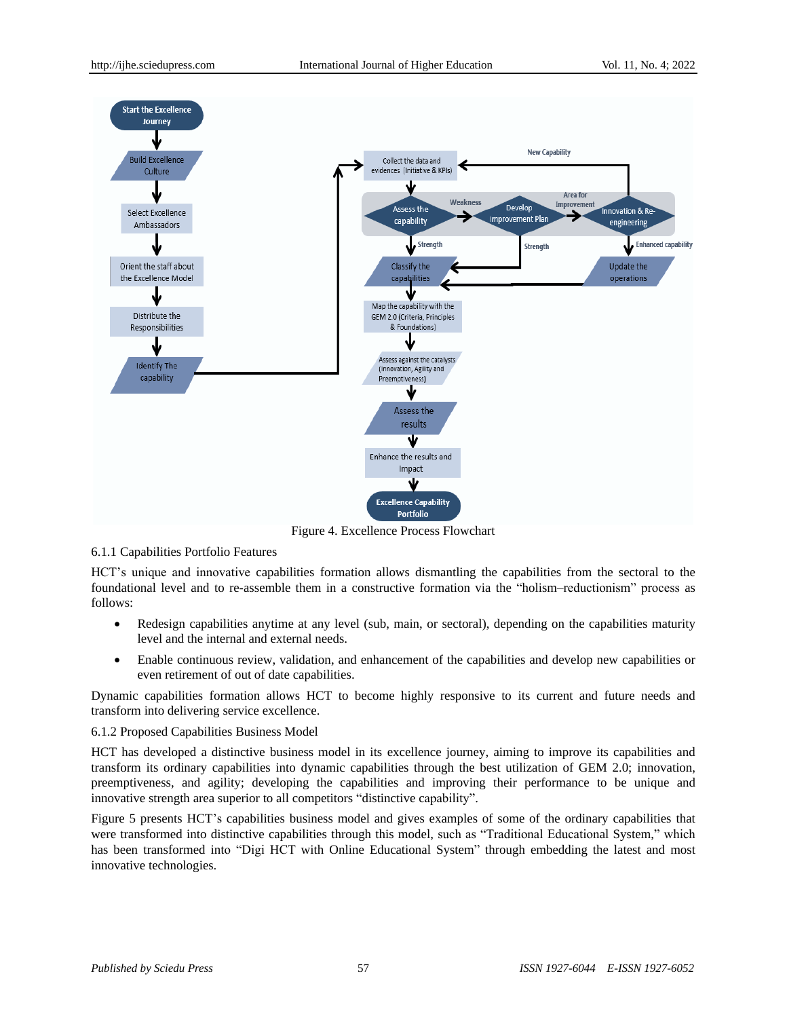

Figure 4. Excellence Process Flowchart

### 6.1.1 Capabilities Portfolio Features

HCT's unique and innovative capabilities formation allows dismantling the capabilities from the sectoral to the foundational level and to re-assemble them in a constructive formation via the "holism–reductionism" process as follows:

- Redesign capabilities anytime at any level (sub, main, or sectoral), depending on the capabilities maturity level and the internal and external needs.
- Enable continuous review, validation, and enhancement of the capabilities and develop new capabilities or even retirement of out of date capabilities.

Dynamic capabilities formation allows HCT to become highly responsive to its current and future needs and transform into delivering service excellence.

### 6.1.2 Proposed Capabilities Business Model

HCT has developed a distinctive business model in its excellence journey, aiming to improve its capabilities and transform its ordinary capabilities into dynamic capabilities through the best utilization of GEM 2.0; innovation, preemptiveness, and agility; developing the capabilities and improving their performance to be unique and innovative strength area superior to all competitors "distinctive capability".

Figure 5 presents HCT's capabilities business model and gives examples of some of the ordinary capabilities that were transformed into distinctive capabilities through this model, such as "Traditional Educational System," which has been transformed into "Digi HCT with Online Educational System" through embedding the latest and most innovative technologies.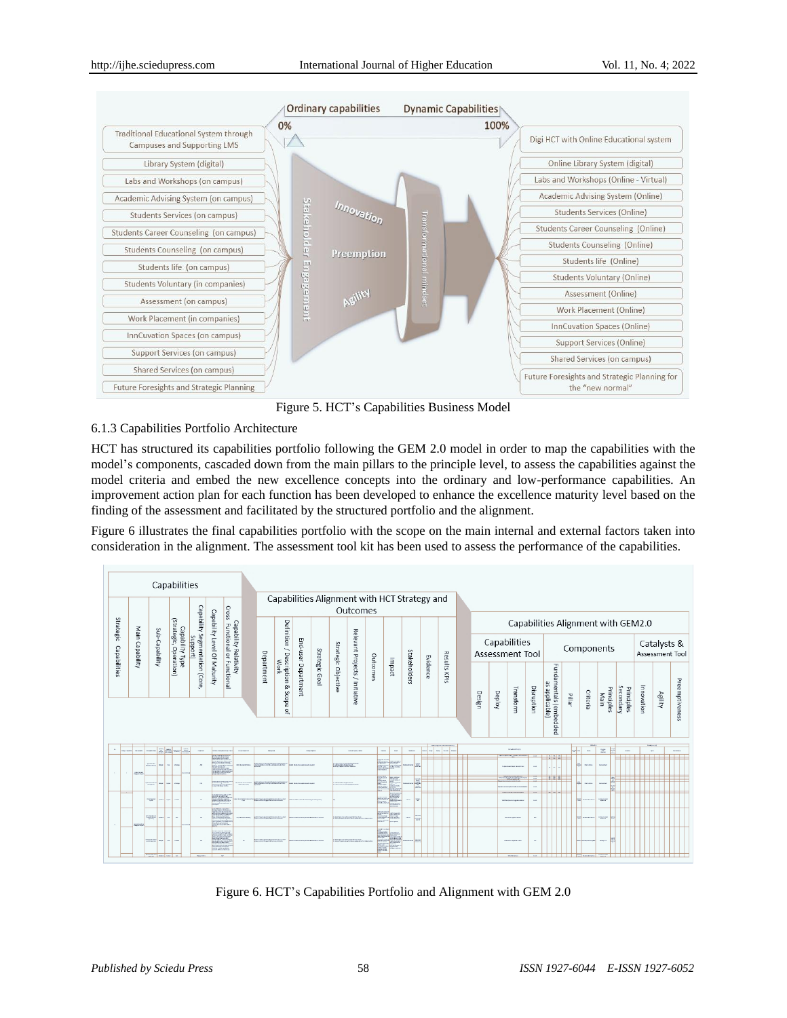

Figure 5. HCT's Capabilities Business Model

# 6.1.3 Capabilities Portfolio Architecture

HCT has structured its capabilities portfolio following the GEM 2.0 model in order to map the capabilities with the model's components, cascaded down from the main pillars to the principle level, to assess the capabilities against the model criteria and embed the new excellence concepts into the ordinary and low-performance capabilities. An improvement action plan for each function has been developed to enhance the excellence maturity level based on the finding of the assessment and facilitated by the structured portfolio and the alignment.

Figure 6 illustrates the final capabilities portfolio with the scope on the main internal and external factors taken into consideration in the alignment. The assessment tool kit has been used to assess the performance of the capabilities.

| Capabilities                    |                                                                                                                                                                                                                                                                                                                                                                                                                                                       |                                           |                          |                              |                                                   |       |  |                   |                                                          |               |       |  |                             |                                        |                     |                                |          |                   |              |          |                          |        |        |           |                                        |                                         |        |          |                    |                         |            |         |                |
|---------------------------------|-------------------------------------------------------------------------------------------------------------------------------------------------------------------------------------------------------------------------------------------------------------------------------------------------------------------------------------------------------------------------------------------------------------------------------------------------------|-------------------------------------------|--------------------------|------------------------------|---------------------------------------------------|-------|--|-------------------|----------------------------------------------------------|---------------|-------|--|-----------------------------|----------------------------------------|---------------------|--------------------------------|----------|-------------------|--------------|----------|--------------------------|--------|--------|-----------|----------------------------------------|-----------------------------------------|--------|----------|--------------------|-------------------------|------------|---------|----------------|
|                                 |                                                                                                                                                                                                                                                                                                                                                                                                                                                       |                                           |                          |                              |                                                   | Cross |  |                   | Capabilities Alignment with HCT Strategy and<br>Outcomes |               |       |  |                             |                                        |                     |                                |          |                   |              |          |                          |        |        |           |                                        |                                         |        |          |                    |                         |            |         |                |
| Strategic                       |                                                                                                                                                                                                                                                                                                                                                                                                                                                       |                                           |                          | Capability                   |                                                   |       |  | Department        |                                                          |               |       |  |                             |                                        |                     |                                |          |                   |              |          |                          |        |        |           | Capabilities Alignment with GEM2.0     |                                         |        |          |                    |                         |            |         |                |
| Main Capability<br>Capabilities | sub-Capability                                                                                                                                                                                                                                                                                                                                                                                                                                        | (Strategic, Operation)<br>Capability Type | Segmentation<br>Support) | Capability Level Of Maturity | Capability Relativity<br>Functional or Functional |       |  |                   |                                                          |               |       |  |                             | Definition<br>$\overline{\phantom{0}}$ |                     |                                |          |                   |              |          |                          |        |        |           | Capabilities<br><b>Assessment Tool</b> |                                         |        |          | Components         |                         |            |         |                |
|                                 |                                                                                                                                                                                                                                                                                                                                                                                                                                                       |                                           |                          | (Core,                       |                                                   |       |  |                   | / Description<br>Work<br><sub>ç0</sub>                   |               | Scope |  | End-user Department         | Strategic Goal                         | Strategic Objective | Relevant Projects / Initiative | Outcomes | Impact            | Stakeholders | Evidence | Results KPIs             | Design | Deploy | Transform | Disruption                             | Fundamentals (embedded<br>as applicable | Pillar | Criteria | Principles<br>Main | Secondary<br>Principles | Innovation | Agility | Preemptiveness |
|                                 |                                                                                                                                                                                                                                                                                                                                                                                                                                                       |                                           |                          |                              |                                                   |       |  |                   | $\overline{a}$                                           |               |       |  |                             |                                        |                     |                                |          |                   |              |          |                          |        |        |           |                                        |                                         |        |          |                    |                         |            |         |                |
|                                 | $\frac{1}{2} \left  \frac{1}{2} \frac{1}{2} \frac{1}{2} \frac{1}{2} \frac{1}{2} \frac{1}{2} \frac{1}{2} \frac{1}{2} \frac{1}{2} \frac{1}{2} \frac{1}{2} \frac{1}{2} \frac{1}{2} \frac{1}{2} \frac{1}{2} \frac{1}{2} \frac{1}{2} \frac{1}{2} \frac{1}{2} \frac{1}{2} \frac{1}{2} \frac{1}{2} \frac{1}{2} \frac{1}{2} \frac{1}{2} \frac{1}{2} \frac{1}{2} \frac{1}{2} \frac{1}{2} \frac{1}{2}$<br><b>STATE</b><br><b><i><u>STOLEN BALLASTER</u></i></b> |                                           |                          |                              |                                                   |       |  | <b>EXHIBITION</b> |                                                          | <b>TACHER</b> |       |  | <b><i>American loss</i></b> |                                        | <b>MAN</b><br>mar   | <b>MARKET</b>                  |          | no se se se se se |              |          | Roude-Alfra (T)          |        |        | on a      | <b>BA</b>                              | $\mathbb{R}^n$<br>E                     |        |          |                    |                         |            |         |                |
|                                 | $\sim$                                                                                                                                                                                                                                                                                                                                                                                                                                                |                                           |                          |                              | $\sim$ 10000                                      |       |  |                   |                                                          |               |       |  |                             |                                        |                     |                                |          |                   |              |          |                          |        |        |           |                                        | <b>MARCH</b>                            |        |          | <b>TILL</b>        |                         |            |         |                |
|                                 |                                                                                                                                                                                                                                                                                                                                                                                                                                                       |                                           |                          |                              |                                                   |       |  |                   |                                                          |               |       |  |                             | E                                      | B<br>e              |                                |          |                   |              |          |                          |        |        |           | ż                                      |                                         |        |          |                    |                         |            |         |                |
|                                 | $\sim$                                                                                                                                                                                                                                                                                                                                                                                                                                                |                                           |                          |                              |                                                   |       |  |                   |                                                          |               |       |  |                             |                                        |                     | $\sim$<br>173                  |          |                   |              |          |                          |        |        |           | <b>CONTRACTOR</b>                      | <b>Marine</b>                           |        |          |                    |                         |            |         |                |
|                                 |                                                                                                                                                                                                                                                                                                                                                                                                                                                       |                                           |                          |                              |                                                   |       |  |                   |                                                          |               |       |  |                             |                                        | <b>LOCKS</b>        | $\sim$                         |          |                   |              |          | <b>MONEY HOUSE AND</b>   |        |        |           |                                        | <b>Marinez</b><br>ᄦ                     |        |          |                    |                         |            |         |                |
|                                 |                                                                                                                                                                                                                                                                                                                                                                                                                                                       |                                           |                          |                              |                                                   |       |  |                   |                                                          |               |       |  |                             |                                        | <b>Senior</b>       |                                |          |                   |              |          | <b><i>MERCHANGER</i></b> |        |        |           |                                        | 墨<br><b>MOVE</b>                        |        |          |                    |                         |            |         |                |

Figure 6. HCT's Capabilities Portfolio and Alignment with GEM 2.0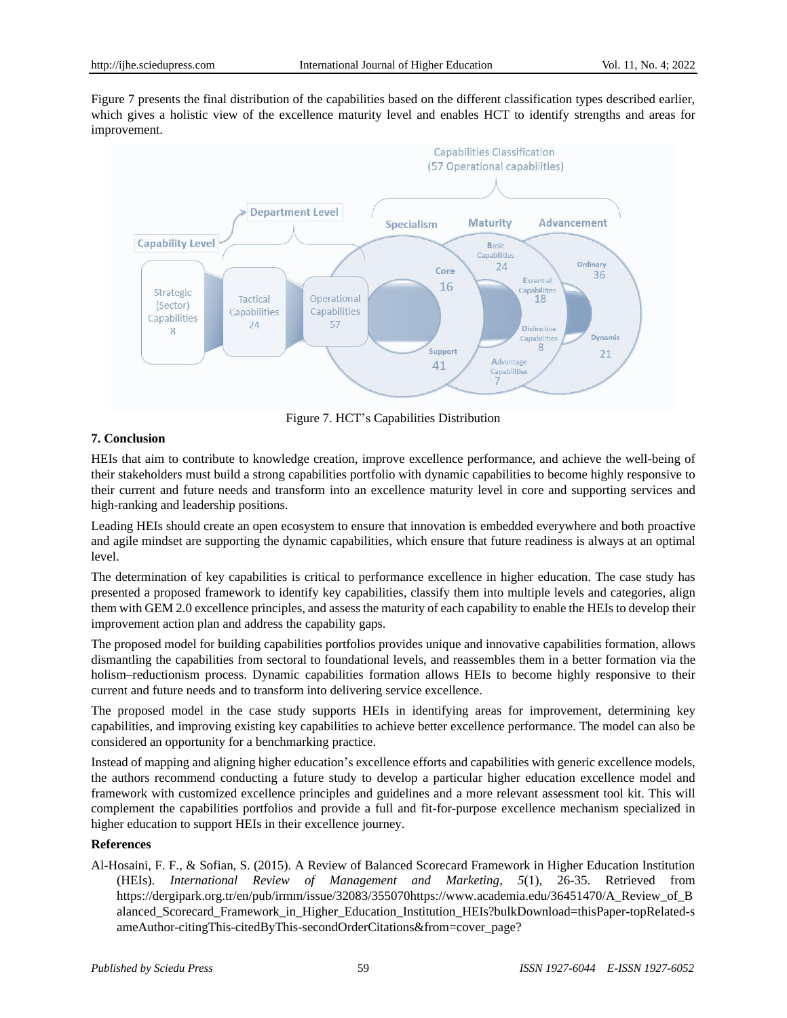Figure 7 presents the final distribution of the capabilities based on the different classification types described earlier, which gives a holistic view of the excellence maturity level and enables HCT to identify strengths and areas for improvement.



Figure 7. HCT's Capabilities Distribution

# **7. Conclusion**

HEIs that aim to contribute to knowledge creation, improve excellence performance, and achieve the well-being of their stakeholders must build a strong capabilities portfolio with dynamic capabilities to become highly responsive to their current and future needs and transform into an excellence maturity level in core and supporting services and high-ranking and leadership positions.

Leading HEIs should create an open ecosystem to ensure that innovation is embedded everywhere and both proactive and agile mindset are supporting the dynamic capabilities, which ensure that future readiness is always at an optimal level.

The determination of key capabilities is critical to performance excellence in higher education. The case study has presented a proposed framework to identify key capabilities, classify them into multiple levels and categories, align them with GEM 2.0 excellence principles, and assess the maturity of each capability to enable the HEIs to develop their improvement action plan and address the capability gaps.

The proposed model for building capabilities portfolios provides unique and innovative capabilities formation, allows dismantling the capabilities from sectoral to foundational levels, and reassembles them in a better formation via the holism–reductionism process. Dynamic capabilities formation allows HEIs to become highly responsive to their current and future needs and to transform into delivering service excellence.

The proposed model in the case study supports HEIs in identifying areas for improvement, determining key capabilities, and improving existing key capabilities to achieve better excellence performance. The model can also be considered an opportunity for a benchmarking practice.

Instead of mapping and aligning higher education's excellence efforts and capabilities with generic excellence models, the authors recommend conducting a future study to develop a particular higher education excellence model and framework with customized excellence principles and guidelines and a more relevant assessment tool kit. This will complement the capabilities portfolios and provide a full and fit-for-purpose excellence mechanism specialized in higher education to support HEIs in their excellence journey.

# **References**

Al-Hosaini, F. F., & Sofian, S. (2015). A Review of Balanced Scorecard Framework in Higher Education Institution (HEIs). *International Review of Management and Marketing, 5*(1), 26-35. Retrieved from https://dergipark.org.tr/en/pub/irmm/issue/32083/35507[0https://www.academia.edu/36451470/A\\_Review\\_of\\_B](https://www.academia.edu/36451470/A_Review_of_Balanced_Scorecard_Framework_in_Higher_Education_Institution_HEIs?bulkDownload=thisPaper-topRelated-sameAuthor-citingThis-citedByThis-secondOrderCitations&from=cover_page) [alanced\\_Scorecard\\_Framework\\_in\\_Higher\\_Education\\_Institution\\_HEIs?bulkDownload=thisPaper-topRelated-s](https://www.academia.edu/36451470/A_Review_of_Balanced_Scorecard_Framework_in_Higher_Education_Institution_HEIs?bulkDownload=thisPaper-topRelated-sameAuthor-citingThis-citedByThis-secondOrderCitations&from=cover_page) [ameAuthor-citingThis-citedByThis-secondOrderCitations&from=cover\\_page?](https://www.academia.edu/36451470/A_Review_of_Balanced_Scorecard_Framework_in_Higher_Education_Institution_HEIs?bulkDownload=thisPaper-topRelated-sameAuthor-citingThis-citedByThis-secondOrderCitations&from=cover_page)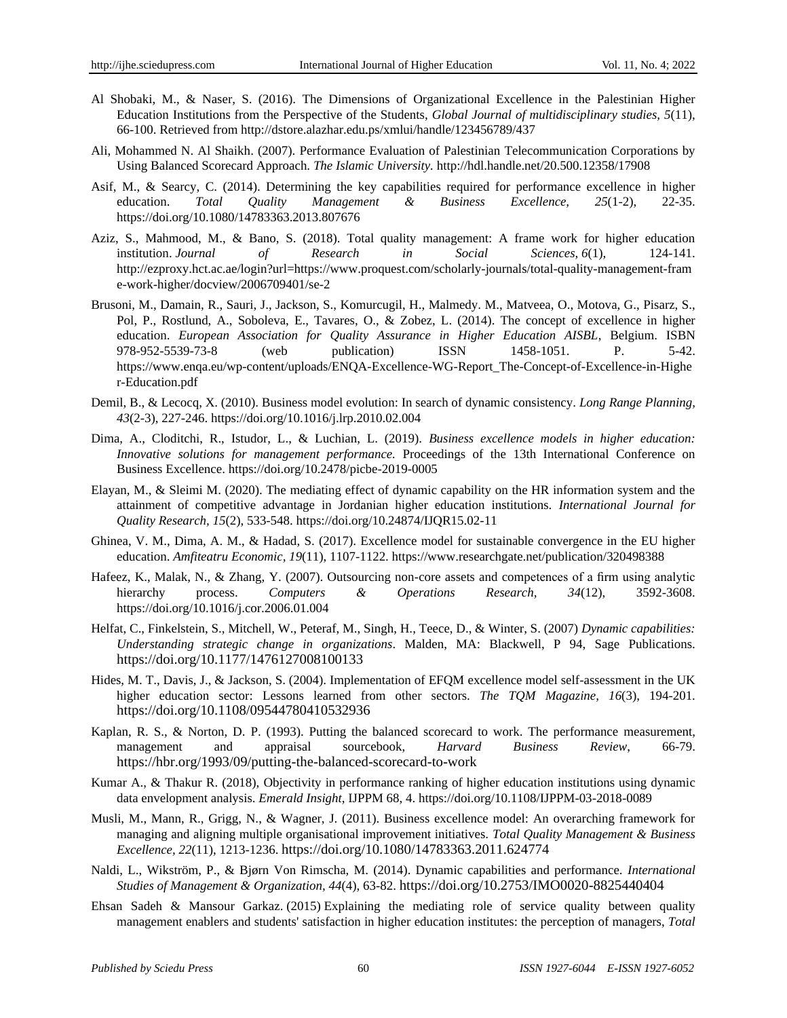- Al Shobaki, M., & Naser, S. (2016). The Dimensions of Organizational Excellence in the Palestinian Higher Education Institutions from the Perspective of the Students, *Global Journal of multidisciplinary studies, 5*(11), 66-100. Retrieved from <http://dstore.alazhar.edu.ps/xmlui/handle/123456789/437>
- Ali, Mohammed N. Al Shaikh. (2007). Performance Evaluation of Palestinian Telecommunication Corporations by Using Balanced Scorecard Approach. *The Islamic University.* http://hdl.handle.net/20.500.12358/17908
- Asif, M., & Searcy, C. (2014). Determining the key capabilities required for performance excellence in higher education. *Total Quality Management & Business Excellence, 25*(1-2), 22-35. <https://doi.org/10.1080/14783363.2013.807676>
- Aziz, S., Mahmood, M., & Bano, S. (2018). Total quality management: A frame work for higher education institution. *Journal of Research in Social Sciences, 6*(1), 124-141. [http://ezproxy.hct.ac.ae/login?url=https://www.proquest.com/scholarly-journals/total-quality-management-fram](http://ezproxy.hct.ac.ae/login?url=https://www.proquest.com/scholarly-journals/total-quality-management-frame-work-higher/docview/2006709401/se-2) [e-work-higher/docview/2006709401/se-2](http://ezproxy.hct.ac.ae/login?url=https://www.proquest.com/scholarly-journals/total-quality-management-frame-work-higher/docview/2006709401/se-2)
- Brusoni, M., Damain, R., Sauri, J., Jackson, S., Komurcugil, H., Malmedy. M., Matveea, O., Motova, G., Pisarz, S., Pol, P., Rostlund, A., Soboleva, E., Tavares, O., & Zobez, L. (2014). The concept of excellence in higher education. *European Association for Quality Assurance in Higher Education AISBL*, Belgium. ISBN 978-952-5539-73-8 (web publication) ISSN 1458-1051. P. 5-42. [https://www.enqa.eu/wp-content/uploads/ENQA-Excellence-WG-Report\\_The-Concept-of-Excellence-in-Highe](https://www.enqa.eu/wp-content/uploads/ENQA-Excellence-WG-Report_The-Concept-of-Excellence-in-Higher-Education.pdf) [r-Education.pdf](https://www.enqa.eu/wp-content/uploads/ENQA-Excellence-WG-Report_The-Concept-of-Excellence-in-Higher-Education.pdf)
- Demil, B., & Lecocq, X. (2010). Business model evolution: In search of dynamic consistency. *Long Range Planning, 43*(2-3), 227-246. https://doi.org/10.1016/j.lrp.2010.02.004
- Dima, A., Cloditchi, R., Istudor, L., & Luchian, L. (2019). *Business excellence models in higher education: Innovative solutions for management performance.* Proceedings of the 13th International Conference on Business Excellence. <https://doi.org/10.2478/picbe-2019-0005>
- Elayan, M., & Sleimi M. (2020). The mediating effect of dynamic capability on the HR information system and the attainment of competitive advantage in Jordanian higher education institutions. *International Journal for Quality Research, 15*(2), 533-548. <https://doi.org/10.24874/IJQR15.02-11>
- Ghinea, V. M., Dima, A. M., & Hadad, S. (2017). Excellence model for sustainable convergence in the EU higher education. *Amfiteatru Economic, 19*(11), 1107-1122. https://www.researchgate.net/publication/320498388
- Hafeez, K., Malak, N., & Zhang, Y. (2007). Outsourcing non-core assets and competences of a firm using analytic hierarchy process. *Computers & Operations Research, 34*(12), 3592-3608. https://doi.org/10.1016/j.cor.2006.01.004
- Helfat, C., Finkelstein, S., Mitchell, W., Peteraf, M., Singh, H., Teece, D., & Winter, S. (2007) *Dynamic capabilities: Understanding strategic change in organizations*. Malden, MA: Blackwell, P 94, Sage Publications. https://doi.org/10.1177/1476127008100133
- Hides, M. T., Davis, J., & Jackson, S. (2004). Implementation of EFQM excellence model self-assessment in the UK higher education sector: Lessons learned from other sectors. *The TQM Magazine, 16*(3), 194-201. https://doi.org/10.1108/09544780410532936
- Kaplan, R. S., & Norton, D. P. (1993). Putting the balanced scorecard to work. The performance measurement, management and appraisal sourcebook, *Harvard Business Review*, 66-79. https://hbr.org/1993/09/putting-the-balanced-scorecard-to-work
- Kumar A., & Thakur R. (2018), Objectivity in performance ranking of higher education institutions using dynamic data envelopment analysis. *Emerald Insight*, IJPPM 68, 4. https://doi.org/10.1108/IJPPM-03-2018-0089
- Musli, M., Mann, R., Grigg, N., & Wagner, J. (2011). Business excellence model: An overarching framework for managing and aligning multiple organisational improvement initiatives. *Total Quality Management & Business Excellence, 22*(11), 1213-1236. <https://doi.org/10.1080/14783363.2011.624774>
- Naldi, L., Wikström, P., & Bjørn Von Rimscha, M. (2014). Dynamic capabilities and performance. *International Studies of Management & Organization, 44*(4), 63-82. <https://doi.org/10.2753/IMO0020-8825440404>
- Ehsan Sadeh & Mansour Garkaz. (2015) Explaining the mediating role of service quality between quality management enablers and students' satisfaction in higher education institutes: the perception of managers, *Total*